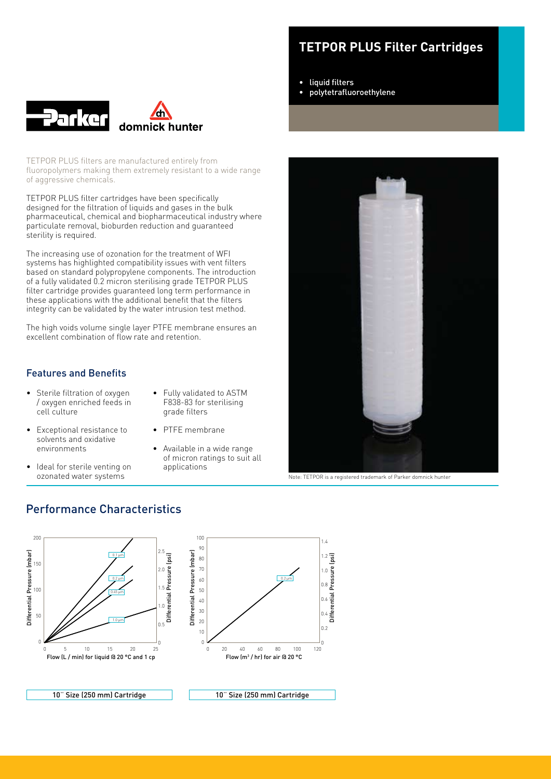

TETPOR PLUS filters are manufactured entirely from fluoropolymers making them extremely resistant to a wide range of aggressive chemicals.

TETPOR PLUS filter cartridges have been specifically designed for the filtration of liquids and gases in the bulk pharmaceutical, chemical and biopharmaceutical industry where particulate removal, bioburden reduction and guaranteed sterility is required.

The increasing use of ozonation for the treatment of WFI systems has highlighted compatibility issues with vent filters based on standard polypropylene components. The introduction of a fully validated 0.2 micron sterilising grade TETPOR PLUS filter cartridge provides guaranteed long term performance in these applications with the additional benefit that the filters integrity can be validated by the water intrusion test method.

The high voids volume single layer PTFE membrane ensures an excellent combination of flow rate and retention.

# Features and Benefits

• Sterile filtration of oxygen / oxygen enriched feeds in cell culture

• Exceptional resistance to solvents and oxidative environments

• Ideal for sterile venting on ozonated water systems

- • Fully validated to ASTM F838-83 for sterilising grade filters
- • PTFE membrane
	- Available in a wide range of micron ratings to suit all applications

# **TETPOR PLUS Filter Cartridges**

- • liquid filters
- polytetrafluoroethylene



Note: TETPOR is a registered trademark of Parker domnick hunter

# Performance Characteristics